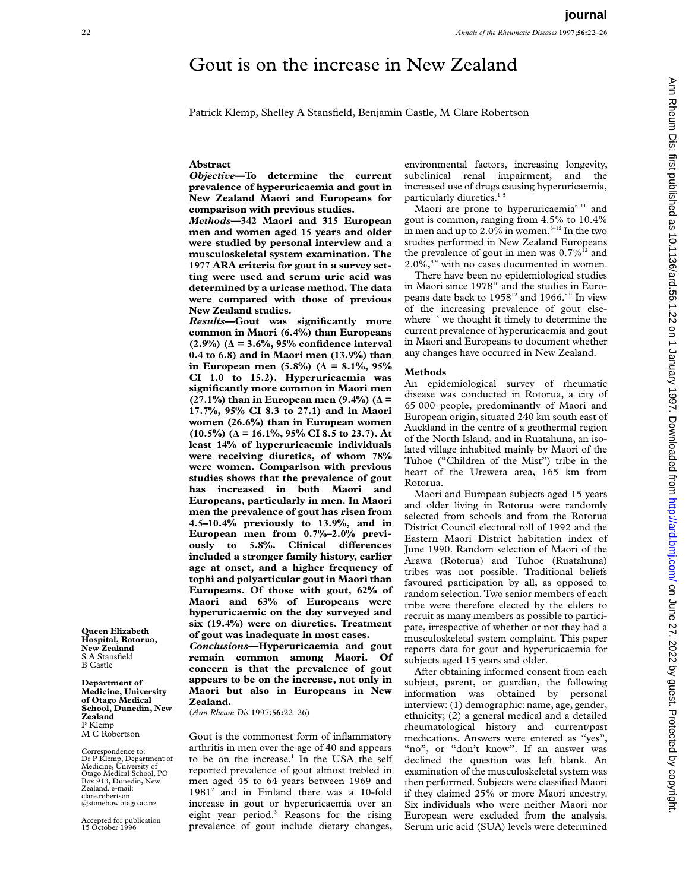# Gout is on the increase in New Zealand

Patrick Klemp, Shelley A Stansfield, Benjamin Castle, M Clare Robertson

## **Abstract**

*Objective***—To determine the current prevalence of hyperuricaemia and gout in New Zealand Maori and Europeans for comparison with previous studies.**

*Methods***—342 Maori and 315 European men and women aged 15 years and older were studied by personal interview and a musculoskeletal system examination. The 1977 ARA criteria for gout in a survey setting were used and serum uric acid was determined by a uricase method. The data were compared with those of previous New Zealand studies.**

*Results***—Gout was significantly more common in Maori (6.4%) than Europeans (2.9%) (Ä = 3.6%, 95% confidence interval 0.4 to 6.8) and in Maori men (13.9%) than** in European men  $(5.8\%)$  ( $\Delta = 8.1\%$ , 95% **CI 1.0 to 15.2). Hyperuricaemia was significantly more common in Maori men (27.1%) than in European men (9.4%) (Ä = 17.7%, 95% CI 8.3 to 27.1) and in Maori women (26.6%) than in European women (10.5%) (Ä = 16.1%, 95% CI 8.5 to 23.7). At least 14% of hyperuricaemic individuals were receiving diuretics, of whom 78% were women. Comparison with previous studies shows that the prevalence of gout has increased in both Maori and Europeans, particularly in men. In Maori men the prevalence of gout has risen from 4.5–10.4% previously to 13.9%, and in European men from 0.7%–2.0% previ**ously to 5.8%. Clinical differences **included a stronger family history, earlier age at onset, and a higher frequency of tophi and polyarticular gout in Maori than Europeans. Of those with gout, 62% of Maori and 63% of Europeans were hyperuricaemic on the day surveyed and six (19.4%) were on diuretics. Treatment of gout was inadequate in most cases.** *Conclusions***—Hyperuricaemia and gout remain common among Maori. Of**

**concern is that the prevalence of gout appears to be on the increase, not only in Maori but also in Europeans in New Zealand.**

(*Ann Rheum Dis* 1997;**56:**22–26)

Gout is the commonest form of inflammatory arthritis in men over the age of 40 and appears to be on the increase.<sup>1</sup> In the USA the self reported prevalence of gout almost trebled in men aged 45 to 64 years between 1969 and 19812 and in Finland there was a 10-fold increase in gout or hyperuricaemia over an eight year period.3 Reasons for the rising prevalence of gout include dietary changes,

environmental factors, increasing longevity, subclinical renal impairment, and the increased use of drugs causing hyperuricaemia, particularly diuretics.<sup>1-5</sup>

Maori are prone to hyperuricaemia<sup> $6-11$ </sup> and gout is common, ranging from 4.5% to 10.4% in men and up to 2.0% in women.<sup>6-12</sup> In the two studies performed in New Zealand Europeans the prevalence of gout in men was  $0.7\%$ <sup>12</sup> and  $2.0\%$ ,<sup>89</sup> with no cases documented in women.

There have been no epidemiological studies in Maori since 1978<sup>10</sup> and the studies in Europeans date back to 1958<sup>12</sup> and 1966.<sup>89</sup> In view of the increasing prevalence of gout elsewhere $1-5$  we thought it timely to determine the current prevalence of hyperuricaemia and gout in Maori and Europeans to document whether any changes have occurred in New Zealand.

## **Methods**

An epidemiological survey of rheumatic disease was conducted in Rotorua, a city of 65 000 people, predominantly of Maori and European origin, situated 240 km south east of Auckland in the centre of a geothermal region of the North Island, and in Ruatahuna, an isolated village inhabited mainly by Maori of the Tuhoe ("Children of the Mist") tribe in the heart of the Urewera area, 165 km from Rotorua.

Maori and European subjects aged 15 years and older living in Rotorua were randomly selected from schools and from the Rotorua District Council electoral roll of 1992 and the Eastern Maori District habitation index of June 1990. Random selection of Maori of the Arawa (Rotorua) and Tuhoe (Ruatahuna) tribes was not possible. Traditional beliefs favoured participation by all, as opposed to random selection. Two senior members of each tribe were therefore elected by the elders to recruit as many members as possible to participate, irrespective of whether or not they had a musculoskeletal system complaint. This paper reports data for gout and hyperuricaemia for subjects aged 15 years and older.

After obtaining informed consent from each subject, parent, or guardian, the following information was obtained by personal interview: (1) demographic: name, age, gender, ethnicity; (2) a general medical and a detailed rheumatological history and current/past medications. Answers were entered as "yes", "no", or "don't know". If an answer was declined the question was left blank. An examination of the musculoskeletal system was then performed. Subjects were classified Maori if they claimed 25% or more Maori ancestry. Six individuals who were neither Maori nor European were excluded from the analysis. Serum uric acid (SUA) levels were determined

**Queen Elizabeth Hospital, Rotorua, New Zealand** S A Stansfield B Castle

**Department of Medicine, University of Otago Medical School, Dunedin, New Zealand** P Klemp M C Robertson

Correspondence to: Dr P Klemp, Department of Medicine, University of Otago Medical School, PO Box 913, Dunedin, New Zealand. e-mail: clare.robertson @stonebow.otago.ac.nz

Accepted for publication 15 October 1996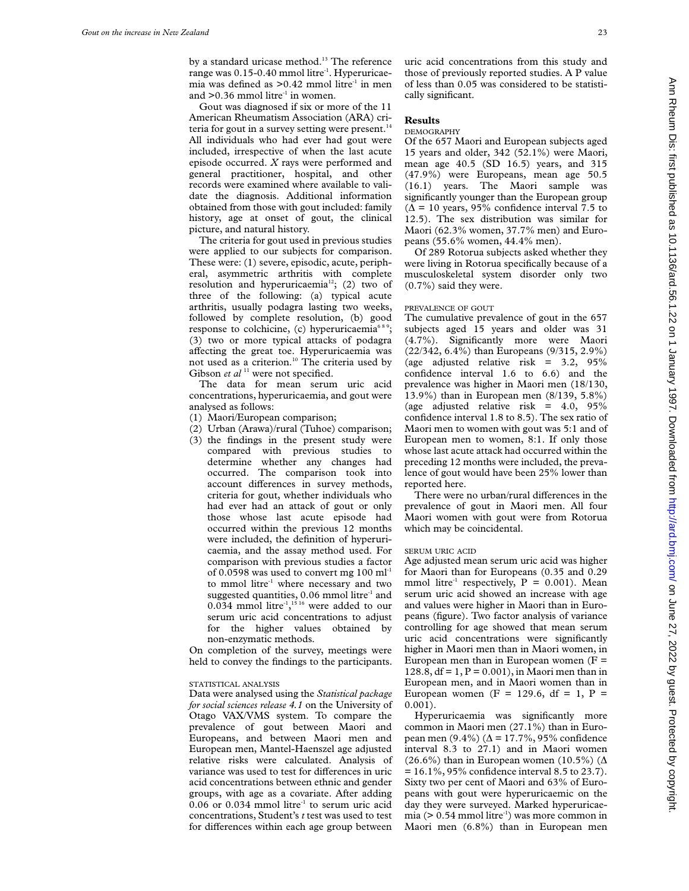by a standard uricase method.<sup>13</sup> The reference range was 0.15-0.40 mmol litre<sup>-1</sup>. Hyperuricaemia was defined as >0.42 mmol litre<sup>-1</sup> in men and  $>0.36$  mmol litre<sup>-1</sup> in women.

Gout was diagnosed if six or more of the 11 American Rheumatism Association (ARA) criteria for gout in a survey setting were present.<sup>14</sup> All individuals who had ever had gout were included, irrespective of when the last acute episode occurred. *X* rays were performed and general practitioner, hospital, and other records were examined where available to validate the diagnosis. Additional information obtained from those with gout included: family history, age at onset of gout, the clinical picture, and natural history.

The criteria for gout used in previous studies were applied to our subjects for comparison. These were: (1) severe, episodic, acute, peripheral, asymmetric arthritis with complete resolution and hyperuricaemia<sup>12</sup>; (2) two of three of the following: (a) typical acute arthritis, usually podagra lasting two weeks, followed by complete resolution, (b) good response to colchicine, (c) hyperuricaemia<sup>689</sup>; (3) two or more typical attacks of podagra affecting the great toe. Hyperuricaemia was not used as a criterion.<sup>10</sup> The criteria used by Gibson *et al*<sup>11</sup> were not specified.

The data for mean serum uric acid concentrations, hyperuricaemia, and gout were analysed as follows:

- (1) Maori/European comparison;
- (2) Urban (Arawa)/rural (Tuhoe) comparison;
- (3) the findings in the present study were compared with previous studies to determine whether any changes had occurred. The comparison took into account differences in survey methods, criteria for gout, whether individuals who had ever had an attack of gout or only those whose last acute episode had occurred within the previous 12 months were included, the definition of hyperuricaemia, and the assay method used. For comparison with previous studies a factor of 0.0598 was used to convert mg  $100 \text{ ml}^{-1}$ to mmol litre<sup>-1</sup> where necessary and two suggested quantities, 0.06 mmol litre<sup>-1</sup> and 0.034 mmol litre<sup>-1</sup>,<sup>1516</sup> were added to our serum uric acid concentrations to adjust for the higher values obtained by non-enzymatic methods.

On completion of the survey, meetings were held to convey the findings to the participants.

## STATISTICAL ANALYSIS

Data were analysed using the *Statistical package for social sciences release 4.1* on the University of Otago VAX/VMS system. To compare the prevalence of gout between Maori and Europeans, and between Maori men and European men, Mantel-Haenszel age adjusted relative risks were calculated. Analysis of variance was used to test for differences in uric acid concentrations between ethnic and gender groups, with age as a covariate. After adding  $0.06$  or  $0.034$  mmol litre<sup>-1</sup> to serum uric acid concentrations, Student's *t* test was used to test for differences within each age group between

uric acid concentrations from this study and those of previously reported studies. A P value of less than 0.05 was considered to be statistically significant.

### **Results**

## DEMOGRAPHY

Of the 657 Maori and European subjects aged 15 years and older, 342 (52.1%) were Maori, mean age 40.5 (SD 16.5) years, and 315 (47.9%) were Europeans, mean age 50.5 (16.1) years. The Maori sample was significantly younger than the European group  $(\Delta = 10 \text{ years}, 95\% \text{ confidence interval } 7.5 \text{ to }$ 12.5). The sex distribution was similar for Maori (62.3% women, 37.7% men) and Europeans (55.6% women, 44.4% men).

Of 289 Rotorua subjects asked whether they were living in Rotorua specifically because of a musculoskeletal system disorder only two (0.7%) said they were.

## PREVALENCE OF GOUT

The cumulative prevalence of gout in the 657 subjects aged 15 years and older was 31 (4.7%). Significantly more were Maori (22/342, 6.4%) than Europeans (9/315, 2.9%) (age adjusted relative risk  $= 3.2, 95\%$ confidence interval 1.6 to 6.6) and the prevalence was higher in Maori men (18/130, 13.9%) than in European men (8/139, 5.8%) (age adjusted relative risk =  $4.0, 95\%$ confidence interval 1.8 to 8.5). The sex ratio of Maori men to women with gout was 5:1 and of European men to women, 8:1. If only those whose last acute attack had occurred within the preceding 12 months were included, the prevalence of gout would have been 25% lower than reported here.

There were no urban/rural differences in the prevalence of gout in Maori men. All four Maori women with gout were from Rotorua which may be coincidental.

#### SERUM URIC ACID

Age adjusted mean serum uric acid was higher for Maori than for Europeans (0.35 and 0.29 mmol litre<sup>-1</sup> respectively,  $P = 0.001$ ). Mean serum uric acid showed an increase with age and values were higher in Maori than in Europeans (figure). Two factor analysis of variance controlling for age showed that mean serum uric acid concentrations were significantly higher in Maori men than in Maori women, in European men than in European women  $(F =$ 128.8, df = 1, P =  $0.001$ ), in Maori men than in European men, and in Maori women than in European women (F = 129.6, df = 1, P = 0.001).

Hyperuricaemia was significantly more common in Maori men (27.1%) than in European men (9.4%) ( $\Delta$  = 17.7%, 95% confidence interval 8.3 to 27.1) and in Maori women (26.6%) than in European women (10.5%) ( $\Delta$  $= 16.1\%, 95\%$  confidence interval 8.5 to 23.7). Sixty two per cent of Maori and 63% of Europeans with gout were hyperuricaemic on the day they were surveyed. Marked hyperuricaemia ( $> 0.54$  mmol litre<sup>-1</sup>) was more common in Maori men (6.8%) than in European men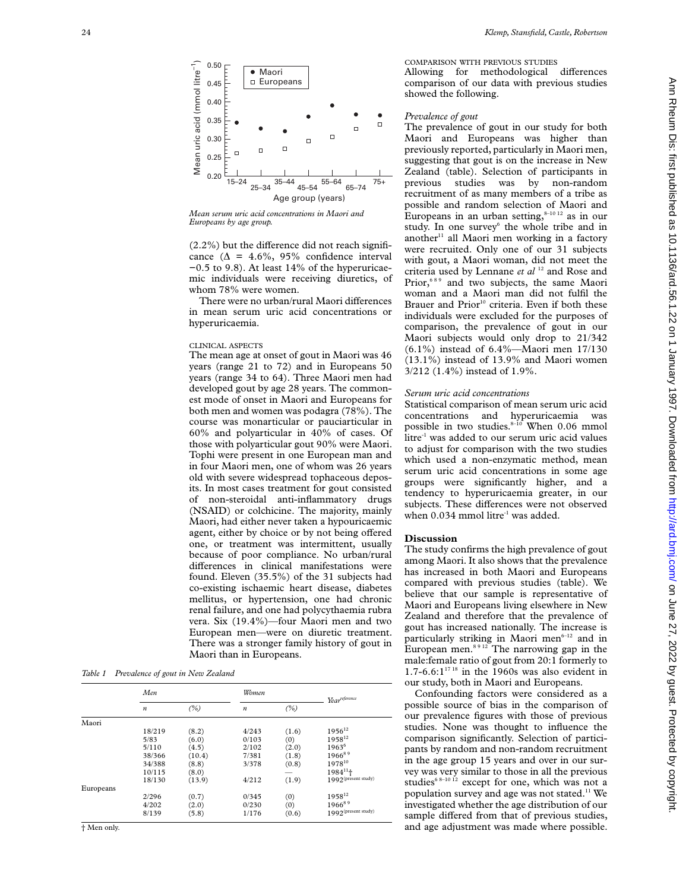

*Mean serum uric acid concentrations in Maori and Europeans by age group.*

 $(2.2\%)$  but the difference did not reach significance ( $\Delta = 4.6\%, 95\%$  confidence interval −0.5 to 9.8). At least 14% of the hyperuricaemic individuals were receiving diuretics, of whom 78% were women.

There were no urban/rural Maori differences in mean serum uric acid concentrations or hyperuricaemia.

## CLINICAL ASPECTS

The mean age at onset of gout in Maori was 46 years (range 21 to 72) and in Europeans 50 years (range 34 to 64). Three Maori men had developed gout by age 28 years. The commonest mode of onset in Maori and Europeans for both men and women was podagra (78%). The course was monarticular or pauciarticular in 60% and polyarticular in 40% of cases. Of those with polyarticular gout 90% were Maori. Tophi were present in one European man and in four Maori men, one of whom was 26 years old with severe widespread tophaceous deposits. In most cases treatment for gout consisted of non-steroidal anti-inflammatory drugs (NSAID) or colchicine. The majority, mainly Maori, had either never taken a hypouricaemic agent, either by choice or by not being offered one, or treatment was intermittent, usually because of poor compliance. No urban/rural differences in clinical manifestations were found. Eleven (35.5%) of the 31 subjects had co-existing ischaemic heart disease, diabetes mellitus, or hypertension, one had chronic renal failure, and one had polycythaemia rubra vera. Six (19.4%)—four Maori men and two European men—were on diuretic treatment. There was a stronger family history of gout in Maori than in Europeans.

*Table 1 Prevalence of gout in New Zealand*

|           | Men              |        | Women            |       | Yearreference                   |
|-----------|------------------|--------|------------------|-------|---------------------------------|
|           | $\boldsymbol{n}$ | (%)    | $\boldsymbol{n}$ | (%)   |                                 |
| Maori     |                  |        |                  |       |                                 |
|           | 18/219           | (8.2)  | 4/243            | (1.6) | $1956^{12}$                     |
|           | 5/83             | (6.0)  | 0/103            | (0)   | 195812                          |
|           | 5/110            | (4.5)  | 2/102            | (2.0) | $1963^6$                        |
|           | 38/366           | (10.4) | 7/381            | (1.8) | 196689                          |
|           | 34/388           | (8.8)  | 3/378            | (0.8) | 197810                          |
|           | 10/115           | (8.0)  |                  |       | $1984^{11}$                     |
|           | 18/130           | (13.9) | 4/212            | (1.9) | 1992 <sup>(present study)</sup> |
| Europeans |                  |        |                  |       |                                 |
|           | 2/296            | (0.7)  | 0/345            | (0)   | 195812                          |
|           | 4/202            | (2.0)  | 0/230            | (0)   | 196689                          |
|           | 8/139            | (5.8)  | 1/176            | (0.6) | 1992 <sup>(present study)</sup> |

# COMPARISON WITH PREVIOUS STUDIES

Allowing for methodological differences comparison of our data with previous studies showed the following.

# *Prevalence of gout*

The prevalence of gout in our study for both Maori and Europeans was higher than previously reported, particularly in Maori men, suggesting that gout is on the increase in New Zealand (table). Selection of participants in previous studies was by non-random recruitment of as many members of a tribe as possible and random selection of Maori and Europeans in an urban setting, $8-1012$  as in our study. In one survey<sup>6</sup> the whole tribe and in another $11$  all Maori men working in a factory were recruited. Only one of our 31 subjects with gout, a Maori woman, did not meet the criteria used by Lennane et al <sup>12</sup> and Rose and Prior,<sup>689</sup> and two subjects, the same Maori woman and a Maori man did not fulfil the Brauer and Prior<sup>10</sup> criteria. Even if both these individuals were excluded for the purposes of comparison, the prevalence of gout in our Maori subjects would only drop to 21/342 (6.1%) instead of 6.4%—Maori men 17/130 (13.1%) instead of 13.9% and Maori women 3/212 (1.4%) instead of 1.9%.

## *Serum uric acid concentrations*

Statistical comparison of mean serum uric acid concentrations and hyperuricaemia was possible in two studies. $8-10$  When 0.06 mmol litre<sup>-1</sup> was added to our serum uric acid values to adjust for comparison with the two studies which used a non-enzymatic method, mean serum uric acid concentrations in some age groups were significantly higher, and a tendency to hyperuricaemia greater, in our subjects. These differences were not observed when  $0.034$  mmol litre<sup>-1</sup> was added.

# **Discussion**

The study confirms the high prevalence of gout among Maori. It also shows that the prevalence has increased in both Maori and Europeans compared with previous studies (table). We believe that our sample is representative of Maori and Europeans living elsewhere in New Zealand and therefore that the prevalence of gout has increased nationally. The increase is particularly striking in Maori men<sup>6-12</sup> and in European men.<sup>8912</sup> The narrowing gap in the male:female ratio of gout from 20:1 formerly to 1.7-6.6: $1^{1718}$  in the 1960s was also evident in our study, both in Maori and Europeans.

Confounding factors were considered as a possible source of bias in the comparison of our prevalence figures with those of previous studies. None was thought to influence the comparison significantly. Selection of participants by random and non-random recruitment in the age group 15 years and over in our survey was very similar to those in all the previous studies<sup>6 8-10 12</sup> except for one, which was not a population survey and age was not stated.<sup>11</sup> We investigated whether the age distribution of our sample differed from that of previous studies, and age adjustment was made where possible.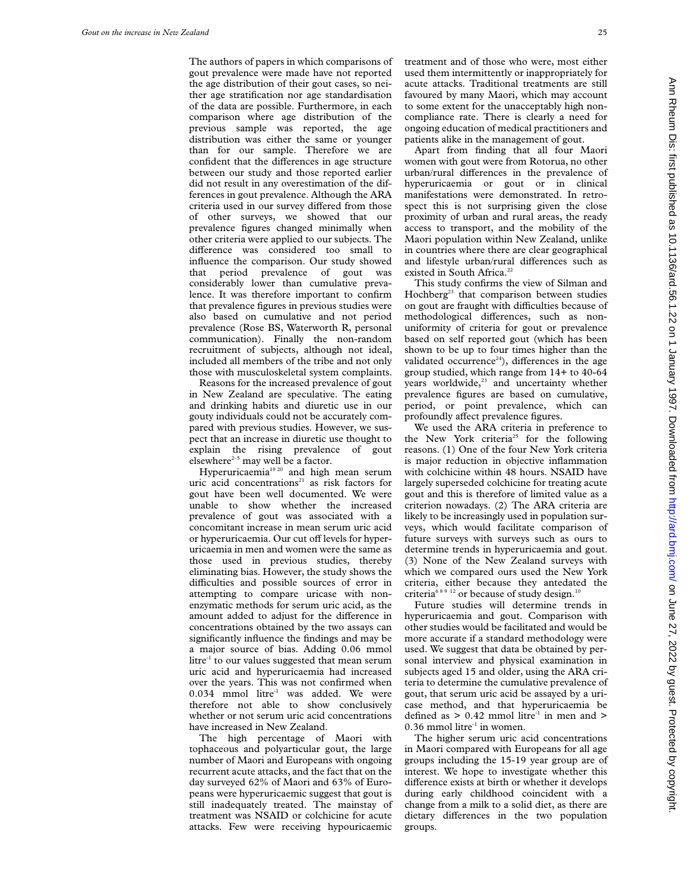The authors of papers in which comparisons of gout prevalence were made have not reported the age distribution of their gout cases, so neither age stratification nor age standardisation of the data are possible. Furthermore, in each comparison where age distribution of the previous sample was reported, the age distribution was either the same or younger than for our sample. Therefore we are confident that the differences in age structure between our study and those reported earlier did not result in any overestimation of the differences in gout prevalence. Although the ARA criteria used in our survey differed from those of other surveys, we showed that our prevalence figures changed minimally when other criteria were applied to our subjects. The difference was considered too small to influence the comparison. Our study showed that period prevalence of gout was considerably lower than cumulative prevalence. It was therefore important to confirm that prevalence figures in previous studies were also based on cumulative and not period prevalence (Rose BS, Waterworth R, personal communication). Finally the non-random recruitment of subjects, although not ideal, included all members of the tribe and not only those with musculoskeletal system complaints.

Reasons for the increased prevalence of gout in New Zealand are speculative. The eating and drinking habits and diuretic use in our gouty individuals could not be accurately compared with previous studies. However, we suspect that an increase in diuretic use thought to explain the rising prevalence of gout elsewhere $2-5$  may well be a factor.

Hyperuricaemia<sup>19 20</sup> and high mean serum uric acid concentrations<sup>21</sup> as risk factors for gout have been well documented. We were unable to show whether the increased prevalence of gout was associated with a concomitant increase in mean serum uric acid or hyperuricaemia. Our cut off levels for hyperuricaemia in men and women were the same as those used in previous studies, thereby eliminating bias. However, the study shows the difficulties and possible sources of error in attempting to compare uricase with nonenzymatic methods for serum uric acid, as the amount added to adjust for the difference in concentrations obtained by the two assays can significantly influence the findings and may be a major source of bias. Adding 0.06 mmol  $litre<sup>-1</sup>$  to our values suggested that mean serum uric acid and hyperuricaemia had increased over the years. This was not confirmed when  $0.034$  mmol litre<sup>-1</sup> was added. We were therefore not able to show conclusively whether or not serum uric acid concentrations have increased in New Zealand.

The high percentage of Maori with tophaceous and polyarticular gout, the large number of Maori and Europeans with ongoing recurrent acute attacks, and the fact that on the day surveyed 62% of Maori and 63% of Europeans were hyperuricaemic suggest that gout is still inadequately treated. The mainstay of treatment was NSAID or colchicine for acute attacks. Few were receiving hypouricaemic

treatment and of those who were, most either used them intermittently or inappropriately for acute attacks. Traditional treatments are still favoured by many Maori, which may account to some extent for the unacceptably high noncompliance rate. There is clearly a need for ongoing education of medical practitioners and patients alike in the management of gout.

Apart from finding that all four Maori women with gout were from Rotorua, no other urban/rural differences in the prevalence of hyperuricaemia or gout or in clinical manifestations were demonstrated. In retrospect this is not surprising given the close proximity of urban and rural areas, the ready access to transport, and the mobility of the Maori population within New Zealand, unlike in countries where there are clear geographical and lifestyle urban/rural differences such as existed in South Africa.<sup>22</sup>

This study confirms the view of Silman and Hochberg<sup>23</sup> that comparison between studies on gout are fraught with difficulties because of methodological differences, such as nonuniformity of criteria for gout or prevalence based on self reported gout (which has been shown to be up to four times higher than the validated occurrence<sup>24</sup>), differences in the age group studied, which range from 14+ to 40-64 years worldwide,<sup>23</sup> and uncertainty whether prevalence figures are based on cumulative, period, or point prevalence, which can profoundly affect prevalence figures.

We used the ARA criteria in preference to the New York criteria<sup>25</sup> for the following reasons. (1) One of the four New York criteria is major reduction in objective inflammation with colchicine within 48 hours. NSAID have largely superseded colchicine for treating acute gout and this is therefore of limited value as a criterion nowadays. (2) The ARA criteria are likely to be increasingly used in population surveys, which would facilitate comparison of future surveys with surveys such as ours to determine trends in hyperuricaemia and gout. (3) None of the New Zealand surveys with which we compared ours used the New York criteria, either because they antedated the criteria<sup>689 12</sup> or because of study design.<sup>10</sup>

Future studies will determine trends in hyperuricaemia and gout. Comparison with other studies would be facilitated and would be more accurate if a standard methodology were used. We suggest that data be obtained by personal interview and physical examination in subjects aged 15 and older, using the ARA criteria to determine the cumulative prevalence of gout, that serum uric acid be assayed by a uricase method, and that hyperuricaemia be defined as  $> 0.42$  mmol litre<sup>-1</sup> in men and  $>$  $0.36$  mmol litre<sup>-1</sup> in women.

The higher serum uric acid concentrations in Maori compared with Europeans for all age groups including the 15-19 year group are of interest. We hope to investigate whether this difference exists at birth or whether it develops during early childhood coincident with a change from a milk to a solid diet, as there are dietary differences in the two population groups.